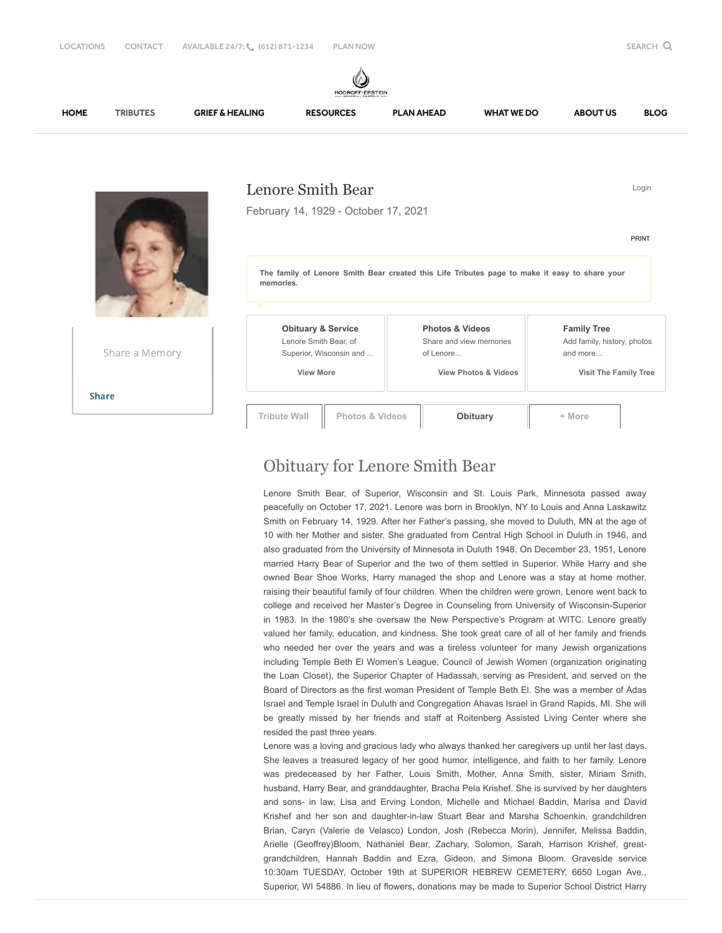

## Obituary for Lenore Smith Bear

Lenore Smith Bear, of Superior, Wisconsin and St. Louis Park, Minnesota passed away peacefully on October 17, 2021. Lenore was born in Brooklyn, NY to Louis and Anna Laskawitz Smith on February 14, 1929. After her Father's passing, she moved to Duluth, MN at the age of 10 with her Mother and sister. She graduated from Central High School in Duluth in 1946, and also graduated from the University of Minnesota in Duluth 1948. On December 23, 1951, Lenore married Harry Bear of Superior and the two of them settled in Superior. While Harry and she owned Bear Shoe Works, Harry managed the shop and Lenore was a stay at home mother, raising their beautiful family of four children. When the children were grown, Lenore went back to college and received her Master's Degree in Counseling from University of Wisconsin-Superior in 1983. In the 1980's she oversaw the New Perspective's Program at WITC. Lenore greatly valued her family, education, and kindness. She took great care of all of her family and friends who needed her over the years and was a tireless volunteer for many Jewish organizations including Temple Beth El Women's League, Council of Jewish Women (organization originating the Loan Closet), the Superior Chapter of Hadassah, serving as President, and served on the Board of Directors as the first woman President of Temple Beth El. She was a member of Adas Israel and Temple Israel in Duluth and Congregation Ahavas Israel in Grand Rapids, MI. She will be greatly missed by her friends and staff at Roitenberg Assisted Living Center where she resided the past three years.

Lenore was a loving and gracious lady who always thanked her caregivers up until her last days. She leaves a treasured legacy of her good humor, intelligence, and faith to her family. Lenore was predeceased by her Father, Louis Smith, Mother, Anna Smith, sister, Miriam Smith, husband, Harry Bear, and granddaughter, Bracha Pela Krishef. She is survived by her daughters and sons- in law, Lisa and Erving London, Michelle and Michael Baddin, Marisa and David Krishef and her son and daughter-in-law Stuart Bear and Marsha Schoenkin, grandchildren Brian, Caryn (Valerie de Velasco) London, Josh (Rebecca Morin), Jennifer, Melissa Baddin, Arielle (Geoffrey)Bloom, Nathaniel Bear, Zachary, Solomon, Sarah, Harrison Krishef, greatgrandchildren, Hannah Baddin and Ezra, Gideon, and Simona Bloom. Graveside service 10:30am TUESDAY, October 19th at SUPERIOR HEBREW CEMETERY, 6650 Logan Ave., Superior, WI 54886. In lieu of flowers, donations may be made to Superior School District Harry